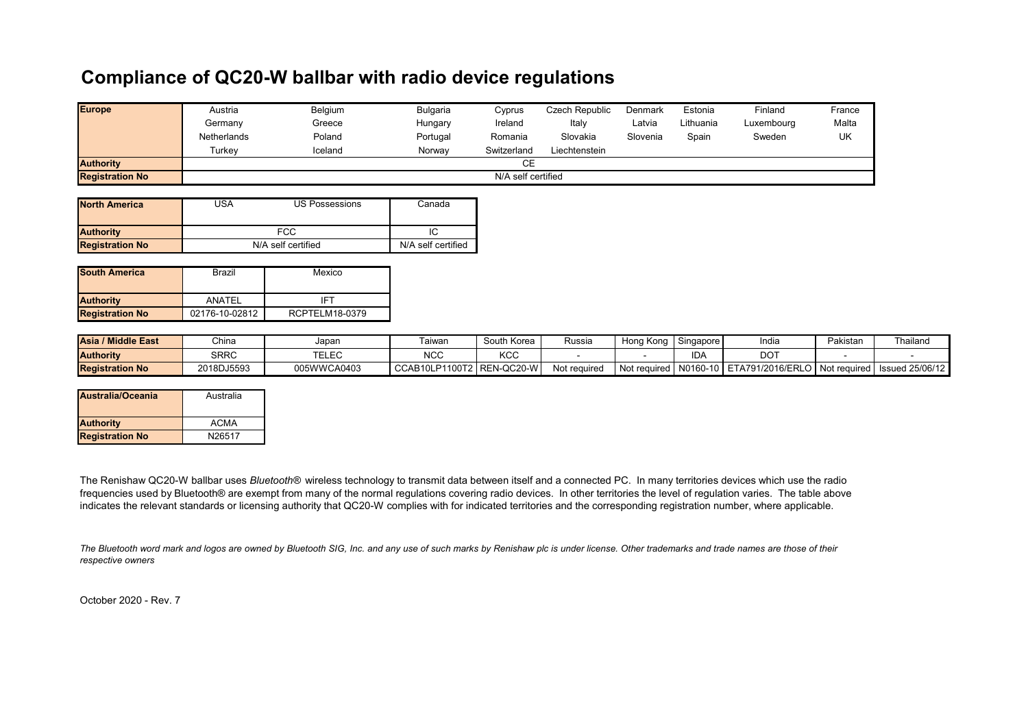## **Compliance of QC20-W ballbar with radio device regulations**

| <b>Europe</b>          | Austria            | Belgium | <b>Bulgaria</b> | Cyprus      | Czech Republic | <b>Denmark</b> | Estonia   | Finland    | France |
|------------------------|--------------------|---------|-----------------|-------------|----------------|----------------|-----------|------------|--------|
|                        | Germany            | Greece  | Hungary         | Ireland     | Italy          | Latvia         | Lithuania | Luxembourg | Malta  |
|                        | Netherlands        | Poland  | Portugal        | Romania     | Slovakia       | Slovenia       | Spain     | Sweden     | UK     |
|                        | Turkev             | Iceland | Norway          | Switzerland | Liechtenstein  |                |           |            |        |
| <b>Authority</b>       | CE                 |         |                 |             |                |                |           |            |        |
| <b>Registration No</b> | N/A self certified |         |                 |             |                |                |           |            |        |
|                        |                    |         |                 |             |                |                |           |            |        |

| <b>North America</b>   | JSA                | US Possessions | Canada             |
|------------------------|--------------------|----------------|--------------------|
| <b>Authority</b>       |                    |                |                    |
| <b>Registration No</b> | N/A self certified |                | N/A self certified |

| <b>South America</b>   | Brazil         | Mexico         |  |  |
|------------------------|----------------|----------------|--|--|
| <b>Authority</b>       | ANATFI         | IFT            |  |  |
| <b>Registration No</b> | 02176-10-02812 | RCPTELM18-0379 |  |  |

| <b>Asia / Middle East</b> | China      | Japan          | <b>aiwar</b>      | South Korea        | Russia       | Hona Kona    | I Singapore       | India            | Pakistar     | Thailano               |
|---------------------------|------------|----------------|-------------------|--------------------|--------------|--------------|-------------------|------------------|--------------|------------------------|
| <b>Authority</b>          | SRRC       | TEL EC<br>CLCU | $N \cap C$<br>ישע | 1100<br>nuu        |              |              | <b>IDA</b>        | DOT              |              |                        |
| <b>Registration No</b>    | 2018DJ5593 | 005WWCA0403    | CCAB10LP1100T2    | $\vert$ REN-QC20-W | Not required | Not required | $\mid$ N0160-10 L | ETA791/2016/ERLO | Not reguired | <b>Issued 25/06/12</b> |

| <b>Australia/Oceania</b> | Australia          |
|--------------------------|--------------------|
| <b>Authority</b>         | ACMA               |
| <b>Registration No</b>   | N <sub>26517</sub> |

The Renishaw QC20-W ballbar uses *Bluetooth®* wireless technology to transmit data between itself and a connected PC. In many territories devices which use the radio frequencies used by Bluetooth® are exempt from many of the normal regulations covering radio devices. In other territories the level of regulation varies. The table above indicates the relevant standards or licensing authority that QC20-W complies with for indicated territories and the corresponding registration number, where applicable.

*The Bluetooth word mark and logos are owned by Bluetooth SIG, Inc. and any use of such marks by Renishaw plc is under license. Other trademarks and trade names are those of their respective owners*

October 2020 - Rev. 7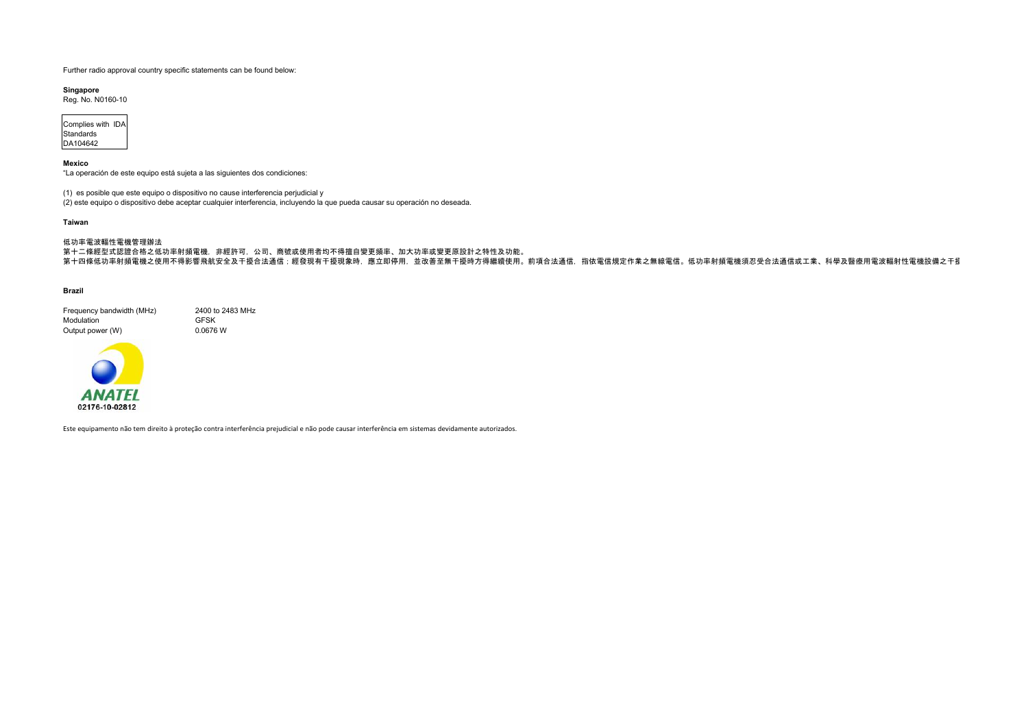**Singapore**

Reg. No. N0160-10

| Complies with IDA |  |
|-------------------|--|
| Standards         |  |
| DA104642          |  |

## **Mexico**

"La operación de este equipo está sujeta a las siguientes dos condiciones:

```
低功率電波輻性電機管理辦法
第十二條經型式認證合格之低功率射頻電機,非經許可,公司、商號或使用者均不得擅自變更頻率、加大功率或變更原設計之特性及功能。
第十四條低功率射頻電機之使用不得影響飛航安全及干擾合法通信;經發現有干擾現象時,應立即停用,並改善至無干擾時方得繼續使用。前項合法通信,指依電信規定作業之無線電信。低功率射頻電機須忍受合法通信或工業、科學及醫療用電波輻射性電機設備之干擾
```
- (1) es posible que este equipo o dispositivo no cause interferencia perjudicial y
- (2) este equipo o dispositivo debe aceptar cualquier interferencia, incluyendo la que pueda causar su operación no deseada.

## **Taiwan**

## **Brazil**

| Frequency bandwidth (MHz) | 2400 to 2483 MHz |
|---------------------------|------------------|
| <b>Modulation</b>         | <b>GFSK</b>      |
| Output power (W)          | 0.0676 W         |



Este equipamento não tem direito à proteção contra interferência prejudicial e não pode causar interferência em sistemas devidamente autorizados.

Further radio approval country specific statements can be found below: